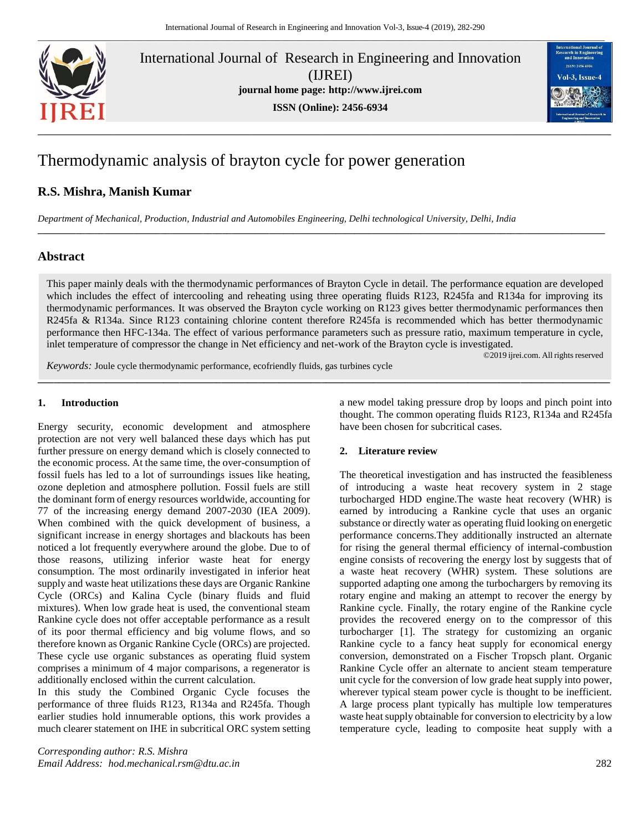

International Journal of Research in Engineering and Innovation (IJREI) **journal home page: [http://www.ijrei.com](http://www.ijrei.com/) ISSN (Online): 2456-6934**



# Thermodynamic analysis of brayton cycle for power generation

# **R.S. Mishra, Manish Kumar**

*Department of Mechanical, Production, Industrial and Automobiles Engineering, Delhi technological University, Delhi, India*

# **Abstract**

This paper mainly deals with the thermodynamic performances of Brayton Cycle in detail. The performance equation are developed which includes the effect of intercooling and reheating using three operating fluids R123, R245fa and R134a for improving its thermodynamic performances. It was observed the Brayton cycle working on R123 gives better thermodynamic performances then R245fa & R134a. Since R123 containing chlorine content therefore R245fa is recommended which has better thermodynamic performance then HFC-134a. The effect of various performance parameters such as pressure ratio, maximum temperature in cycle, inlet temperature of compressor the change in Net efficiency and net-work of the Brayton cycle is investigated.

**\_\_\_\_\_\_\_\_\_\_\_\_\_\_\_\_\_\_\_\_\_\_\_\_\_\_\_\_\_\_\_\_\_\_\_\_\_\_\_\_\_\_\_\_\_\_\_\_\_\_\_\_\_\_\_\_\_\_\_\_\_\_\_\_\_\_\_\_\_\_\_\_\_\_\_\_\_\_\_\_\_\_\_\_\_\_\_\_\_\_\_\_\_\_\_\_\_\_\_\_\_\_\_\_\_\_\_\_\_**

**\_\_\_\_\_\_\_\_\_\_\_\_\_\_\_\_\_\_\_\_\_\_\_\_\_\_\_\_\_\_\_\_\_\_\_\_\_\_\_\_\_\_\_\_\_\_\_\_\_\_\_\_\_\_\_\_\_\_\_\_\_\_\_\_\_\_\_\_\_\_\_\_\_\_\_\_\_\_\_\_\_\_\_\_\_\_\_\_\_\_\_\_\_\_\_\_\_\_\_\_\_\_\_\_\_\_\_\_\_\_\_\_\_\_\_\_\_\_\_\_**

©2019 ijrei.com. All rights reserved

*Keywords:* Joule cycle thermodynamic performance, ecofriendly fluids, gas turbines cycle

#### **1. Introduction**

Energy security, economic development and atmosphere protection are not very well balanced these days which has put further pressure on energy demand which is closely connected to the economic process. At the same time, the over-consumption of fossil fuels has led to a lot of surroundings issues like heating, ozone depletion and atmosphere pollution. Fossil fuels are still the dominant form of energy resources worldwide, accounting for 77 of the increasing energy demand 2007-2030 (IEA 2009). When combined with the quick development of business, a significant increase in energy shortages and blackouts has been noticed a lot frequently everywhere around the globe. Due to of those reasons, utilizing inferior waste heat for energy consumption. The most ordinarily investigated in inferior heat supply and waste heat utilizations these days are Organic Rankine Cycle (ORCs) and Kalina Cycle (binary fluids and fluid mixtures). When low grade heat is used, the conventional steam Rankine cycle does not offer acceptable performance as a result of its poor thermal efficiency and big volume flows, and so therefore known as Organic Rankine Cycle (ORCs) are projected. These cycle use organic substances as operating fluid system comprises a minimum of 4 major comparisons, a regenerator is additionally enclosed within the current calculation.

In this study the Combined Organic Cycle focuses the performance of three fluids R123, R134a and R245fa. Though earlier studies hold innumerable options, this work provides a much clearer statement on IHE in subcritical ORC system setting

*Corresponding author: R.S. Mishra Email Address: hod.mechanical.rsm@dtu.ac.in* 282

a new model taking pressure drop by loops and pinch point into thought. The common operating fluids R123, R134a and R245fa have been chosen for subcritical cases.

# **2. Literature review**

The theoretical investigation and has instructed the feasibleness of introducing a waste heat recovery system in 2 stage turbocharged HDD engine.The waste heat recovery (WHR) is earned by introducing a Rankine cycle that uses an organic substance or directly water as operating fluid looking on energetic performance concerns.They additionally instructed an alternate for rising the general thermal efficiency of internal-combustion engine consists of recovering the energy lost by suggests that of a waste heat recovery (WHR) system. These solutions are supported adapting one among the turbochargers by removing its rotary engine and making an attempt to recover the energy by Rankine cycle. Finally, the rotary engine of the Rankine cycle provides the recovered energy on to the compressor of this turbocharger [1]. The strategy for customizing an organic Rankine cycle to a fancy heat supply for economical energy conversion, demonstrated on a Fischer Tropsch plant. Organic Rankine Cycle offer an alternate to ancient steam temperature unit cycle for the conversion of low grade heat supply into power, wherever typical steam power cycle is thought to be inefficient. A large process plant typically has multiple low temperatures waste heat supply obtainable for conversion to electricity by a low temperature cycle, leading to composite heat supply with a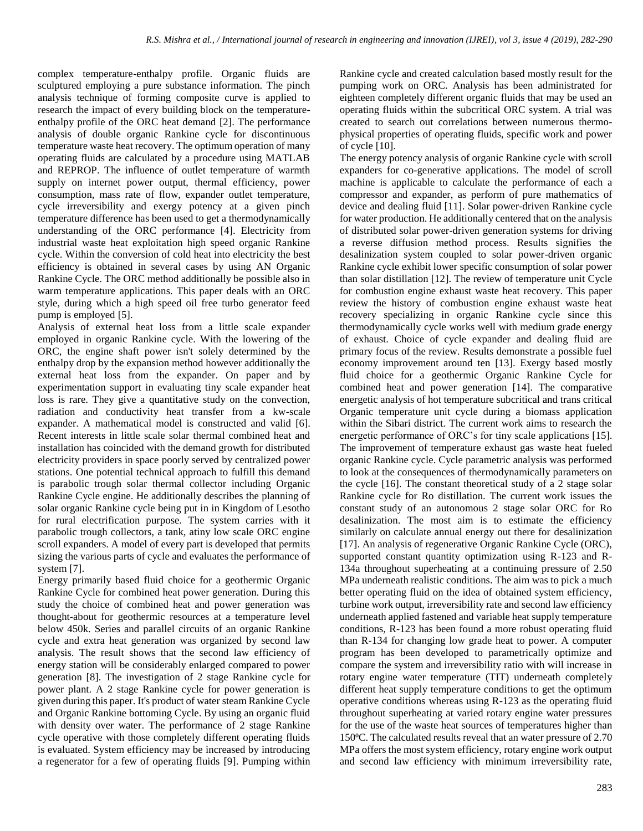complex temperature-enthalpy profile. Organic fluids are sculptured employing a pure substance information. The pinch analysis technique of forming composite curve is applied to research the impact of every building block on the temperatureenthalpy profile of the ORC heat demand [2]. The performance analysis of double organic Rankine cycle for discontinuous temperature waste heat recovery. The optimum operation of many operating fluids are calculated by a procedure using MATLAB and REPROP. The influence of outlet temperature of warmth supply on internet power output, thermal efficiency, power consumption, mass rate of flow, expander outlet temperature, cycle irreversibility and exergy potency at a given pinch temperature difference has been used to get a thermodynamically understanding of the ORC performance [4]. Electricity from industrial waste heat exploitation high speed organic Rankine cycle. Within the conversion of cold heat into electricity the best efficiency is obtained in several cases by using AN Organic Rankine Cycle. The ORC method additionally be possible also in warm temperature applications. This paper deals with an ORC style, during which a high speed oil free turbo generator feed pump is employed [5].

Analysis of external heat loss from a little scale expander employed in organic Rankine cycle. With the lowering of the ORC, the engine shaft power isn't solely determined by the enthalpy drop by the expansion method however additionally the external heat loss from the expander. On paper and by experimentation support in evaluating tiny scale expander heat loss is rare. They give a quantitative study on the convection, radiation and conductivity heat transfer from a kw-scale expander. A mathematical model is constructed and valid [6]. Recent interests in little scale solar thermal combined heat and installation has coincided with the demand growth for distributed electricity providers in space poorly served by centralized power stations. One potential technical approach to fulfill this demand is parabolic trough solar thermal collector including Organic Rankine Cycle engine. He additionally describes the planning of solar organic Rankine cycle being put in in Kingdom of Lesotho for rural electrification purpose. The system carries with it parabolic trough collectors, a tank, atiny low scale ORC engine scroll expanders. A model of every part is developed that permits sizing the various parts of cycle and evaluates the performance of system [7].

Energy primarily based fluid choice for a geothermic Organic Rankine Cycle for combined heat power generation. During this study the choice of combined heat and power generation was thought-about for geothermic resources at a temperature level below 450k. Series and parallel circuits of an organic Rankine cycle and extra heat generation was organized by second law analysis. The result shows that the second law efficiency of energy station will be considerably enlarged compared to power generation [8]. The investigation of 2 stage Rankine cycle for power plant. A 2 stage Rankine cycle for power generation is given during this paper. It's product of water steam Rankine Cycle and Organic Rankine bottoming Cycle. By using an organic fluid with density over water. The performance of 2 stage Rankine cycle operative with those completely different operating fluids is evaluated. System efficiency may be increased by introducing a regenerator for a few of operating fluids [9]. Pumping within Rankine cycle and created calculation based mostly result for the pumping work on ORC. Analysis has been administrated for eighteen completely different organic fluids that may be used an operating fluids within the subcritical ORC system. A trial was created to search out correlations between numerous thermophysical properties of operating fluids, specific work and power of cycle [10].

The energy potency analysis of organic Rankine cycle with scroll expanders for co-generative applications. The model of scroll machine is applicable to calculate the performance of each a compressor and expander, as perform of pure mathematics of device and dealing fluid [11]. Solar power-driven Rankine cycle for water production. He additionally centered that on the analysis of distributed solar power-driven generation systems for driving a reverse diffusion method process. Results signifies the desalinization system coupled to solar power-driven organic Rankine cycle exhibit lower specific consumption of solar power than solar distillation [12]. The review of temperature unit Cycle for combustion engine exhaust waste heat recovery. This paper review the history of combustion engine exhaust waste heat recovery specializing in organic Rankine cycle since this thermodynamically cycle works well with medium grade energy of exhaust. Choice of cycle expander and dealing fluid are primary focus of the review. Results demonstrate a possible fuel economy improvement around ten [13]. Exergy based mostly fluid choice for a geothermic Organic Rankine Cycle for combined heat and power generation [14]. The comparative energetic analysis of hot temperature subcritical and trans critical Organic temperature unit cycle during a biomass application within the Sibari district. The current work aims to research the energetic performance of ORC's for tiny scale applications [15]. The improvement of temperature exhaust gas waste heat fueled organic Rankine cycle. Cycle parametric analysis was performed to look at the consequences of thermodynamically parameters on the cycle [16]. The constant theoretical study of a 2 stage solar Rankine cycle for Ro distillation. The current work issues the constant study of an autonomous 2 stage solar ORC for Ro desalinization. The most aim is to estimate the efficiency similarly on calculate annual energy out there for desalinization [17]. An analysis of regenerative Organic Rankine Cycle (ORC), supported constant quantity optimization using R-123 and R-134a throughout superheating at a continuing pressure of 2.50 MPa underneath realistic conditions. The aim was to pick a much better operating fluid on the idea of obtained system efficiency, turbine work output, irreversibility rate and second law efficiency underneath applied fastened and variable heat supply temperature conditions, R-123 has been found a more robust operating fluid than R-134 for changing low grade heat to power. A computer program has been developed to parametrically optimize and compare the system and irreversibility ratio with will increase in rotary engine water temperature (TIT) underneath completely different heat supply temperature conditions to get the optimum operative conditions whereas using R-123 as the operating fluid throughout superheating at varied rotary engine water pressures for the use of the waste heat sources of temperatures higher than 150⁰C. The calculated results reveal that an water pressure of 2.70 MPa offers the most system efficiency, rotary engine work output and second law efficiency with minimum irreversibility rate,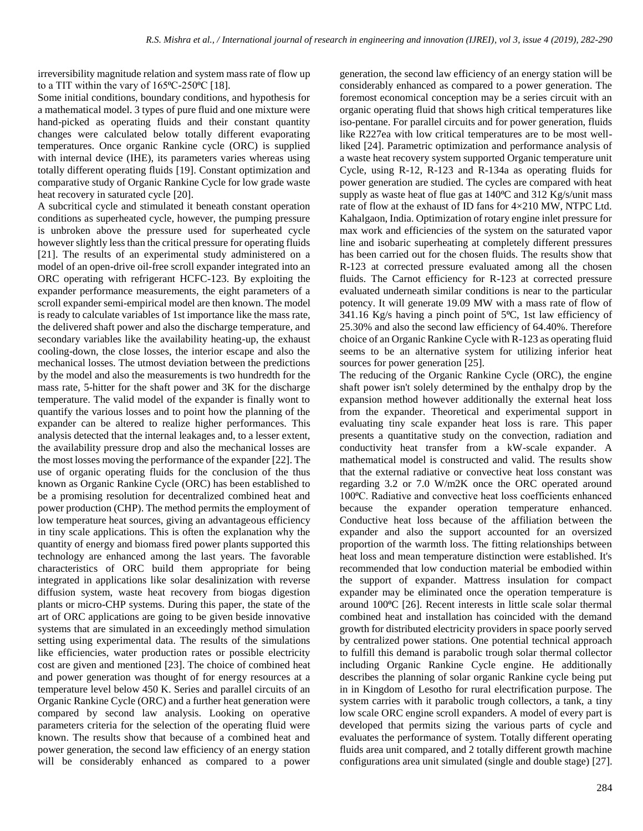irreversibility magnitude relation and system mass rate of flow up to a TIT within the vary of  $165^{\circ}$ C-250 $^{\circ}$ C [18].

Some initial conditions, boundary conditions, and hypothesis for a mathematical model. 3 types of pure fluid and one mixture were hand-picked as operating fluids and their constant quantity changes were calculated below totally different evaporating temperatures. Once organic Rankine cycle (ORC) is supplied with internal device (IHE), its parameters varies whereas using totally different operating fluids [19]. Constant optimization and comparative study of Organic Rankine Cycle for low grade waste heat recovery in saturated cycle [20].

A subcritical cycle and stimulated it beneath constant operation conditions as superheated cycle, however, the pumping pressure is unbroken above the pressure used for superheated cycle however slightly less than the critical pressure for operating fluids [21]. The results of an experimental study administered on a model of an open-drive oil-free scroll expander integrated into an ORC operating with refrigerant HCFC-123. By exploiting the expander performance measurements, the eight parameters of a scroll expander semi-empirical model are then known. The model is ready to calculate variables of 1st importance like the mass rate, the delivered shaft power and also the discharge temperature, and secondary variables like the availability heating-up, the exhaust cooling-down, the close losses, the interior escape and also the mechanical losses. The utmost deviation between the predictions by the model and also the measurements is two hundredth for the mass rate, 5-hitter for the shaft power and 3K for the discharge temperature. The valid model of the expander is finally wont to quantify the various losses and to point how the planning of the expander can be altered to realize higher performances. This analysis detected that the internal leakages and, to a lesser extent, the availability pressure drop and also the mechanical losses are the most losses moving the performance of the expander [22]. The use of organic operating fluids for the conclusion of the thus known as Organic Rankine Cycle (ORC) has been established to be a promising resolution for decentralized combined heat and power production (CHP). The method permits the employment of low temperature heat sources, giving an advantageous efficiency in tiny scale applications. This is often the explanation why the quantity of energy and biomass fired power plants supported this technology are enhanced among the last years. The favorable characteristics of ORC build them appropriate for being integrated in applications like solar desalinization with reverse diffusion system, waste heat recovery from biogas digestion plants or micro-CHP systems. During this paper, the state of the art of ORC applications are going to be given beside innovative systems that are simulated in an exceedingly method simulation setting using experimental data. The results of the simulations like efficiencies, water production rates or possible electricity cost are given and mentioned [23]. The choice of combined heat and power generation was thought of for energy resources at a temperature level below 450 K. Series and parallel circuits of an Organic Rankine Cycle (ORC) and a further heat generation were compared by second law analysis. Looking on operative parameters criteria for the selection of the operating fluid were known. The results show that because of a combined heat and power generation, the second law efficiency of an energy station will be considerably enhanced as compared to a power

generation, the second law efficiency of an energy station will be considerably enhanced as compared to a power generation. The foremost economical conception may be a series circuit with an organic operating fluid that shows high critical temperatures like iso-pentane. For parallel circuits and for power generation, fluids like R227ea with low critical temperatures are to be most wellliked [24]. Parametric optimization and performance analysis of a waste heat recovery system supported Organic temperature unit Cycle, using R-12, R-123 and R-134a as operating fluids for power generation are studied. The cycles are compared with heat supply as waste heat of flue gas at  $140^{\circ}$ C and  $312$  Kg/s/unit mass rate of flow at the exhaust of ID fans for 4×210 MW, NTPC Ltd. Kahalgaon, India. Optimization of rotary engine inlet pressure for max work and efficiencies of the system on the saturated vapor line and isobaric superheating at completely different pressures has been carried out for the chosen fluids. The results show that R-123 at corrected pressure evaluated among all the chosen fluids. The Carnot efficiency for R-123 at corrected pressure evaluated underneath similar conditions is near to the particular potency. It will generate 19.09 MW with a mass rate of flow of 341.16 Kg/s having a pinch point of  $5^{\circ}$ C, 1st law efficiency of 25.30% and also the second law efficiency of 64.40%. Therefore choice of an Organic Rankine Cycle with R-123 as operating fluid seems to be an alternative system for utilizing inferior heat sources for power generation [25].

The reducing of the Organic Rankine Cycle (ORC), the engine shaft power isn't solely determined by the enthalpy drop by the expansion method however additionally the external heat loss from the expander. Theoretical and experimental support in evaluating tiny scale expander heat loss is rare. This paper presents a quantitative study on the convection, radiation and conductivity heat transfer from a kW-scale expander. A mathematical model is constructed and valid. The results show that the external radiative or convective heat loss constant was regarding 3.2 or 7.0 W/m2K once the ORC operated around 100⁰C. Radiative and convective heat loss coefficients enhanced because the expander operation temperature enhanced. Conductive heat loss because of the affiliation between the expander and also the support accounted for an oversized proportion of the warmth loss. The fitting relationships between heat loss and mean temperature distinction were established. It's recommended that low conduction material be embodied within the support of expander. Mattress insulation for compact expander may be eliminated once the operation temperature is around 100⁰C [26]. Recent interests in little scale solar thermal combined heat and installation has coincided with the demand growth for distributed electricity providers in space poorly served by centralized power stations. One potential technical approach to fulfill this demand is parabolic trough solar thermal collector including Organic Rankine Cycle engine. He additionally describes the planning of solar organic Rankine cycle being put in in Kingdom of Lesotho for rural electrification purpose. The system carries with it parabolic trough collectors, a tank, a tiny low scale ORC engine scroll expanders. A model of every part is developed that permits sizing the various parts of cycle and evaluates the performance of system. Totally different operating fluids area unit compared, and 2 totally different growth machine configurations area unit simulated (single and double stage) [27].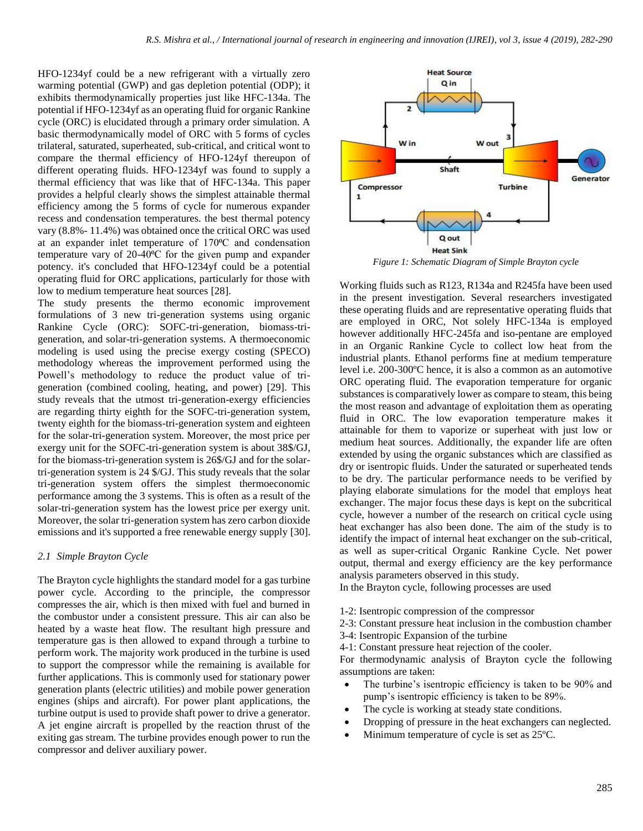HFO-1234yf could be a new refrigerant with a virtually zero warming potential (GWP) and gas depletion potential (ODP); it exhibits thermodynamically properties just like HFC-134a. The potential if HFO-1234yf as an operating fluid for organic Rankine cycle (ORC) is elucidated through a primary order simulation. A basic thermodynamically model of ORC with 5 forms of cycles trilateral, saturated, superheated, sub-critical, and critical wont to compare the thermal efficiency of HFO-124yf thereupon of different operating fluids. HFO-1234yf was found to supply a thermal efficiency that was like that of HFC-134a. This paper provides a helpful clearly shows the simplest attainable thermal efficiency among the 5 forms of cycle for numerous expander recess and condensation temperatures. the best thermal potency vary (8.8%- 11.4%) was obtained once the critical ORC was used at an expander inlet temperature of 170°C and condensation temperature vary of  $20-40^{\circ}$ C for the given pump and expander potency. it's concluded that HFO-1234yf could be a potential operating fluid for ORC applications, particularly for those with low to medium temperature heat sources [28].

The study presents the thermo economic improvement formulations of 3 new tri-generation systems using organic Rankine Cycle (ORC): SOFC-tri-generation, biomass-trigeneration, and solar-tri-generation systems. A thermoeconomic modeling is used using the precise exergy costing (SPECO) methodology whereas the improvement performed using the Powell's methodology to reduce the product value of trigeneration (combined cooling, heating, and power) [29]. This study reveals that the utmost tri-generation-exergy efficiencies are regarding thirty eighth for the SOFC-tri-generation system, twenty eighth for the biomass-tri-generation system and eighteen for the solar-tri-generation system. Moreover, the most price per exergy unit for the SOFC-tri-generation system is about 38\$/GJ, for the biomass-tri-generation system is 26\$/GJ and for the solartri-generation system is 24 \$/GJ. This study reveals that the solar tri-generation system offers the simplest thermoeconomic performance among the 3 systems. This is often as a result of the solar-tri-generation system has the lowest price per exergy unit. Moreover, the solar tri-generation system has zero carbon dioxide emissions and it's supported a free renewable energy supply [30].

#### *2.1 Simple Brayton Cycle*

The Brayton cycle highlights the standard model for a gas turbine power cycle. According to the principle, the compressor compresses the air, which is then mixed with fuel and burned in the combustor under a consistent pressure. This air can also be heated by a waste heat flow. The resultant high pressure and temperature gas is then allowed to expand through a turbine to perform work. The majority work produced in the turbine is used to support the compressor while the remaining is available for further applications. This is commonly used for stationary power generation plants (electric utilities) and mobile power generation engines (ships and aircraft). For power plant applications, the turbine output is used to provide shaft power to drive a generator. A jet engine aircraft is propelled by the reaction thrust of the exiting gas stream. The turbine provides enough power to run the compressor and deliver auxiliary power.



*Figure 1: Schematic Diagram of Simple Brayton cycle*

Working fluids such as R123, R134a and R245fa have been used in the present investigation. Several researchers investigated these operating fluids and are representative operating fluids that are employed in ORC, Not solely HFC-134a is employed however additionally HFC-245fa and iso-pentane are employed in an Organic Rankine Cycle to collect low heat from the industrial plants. Ethanol performs fine at medium temperature level i.e. 200-300ºC hence, it is also a common as an automotive ORC operating fluid. The evaporation temperature for organic substances is comparatively lower as compare to steam, this being the most reason and advantage of exploitation them as operating fluid in ORC. The low evaporation temperature makes it attainable for them to vaporize or superheat with just low or medium heat sources. Additionally, the expander life are often extended by using the organic substances which are classified as dry or isentropic fluids. Under the saturated or superheated tends to be dry. The particular performance needs to be verified by playing elaborate simulations for the model that employs heat exchanger. The major focus these days is kept on the subcritical cycle, however a number of the research on critical cycle using heat exchanger has also been done. The aim of the study is to identify the impact of internal heat exchanger on the sub-critical, as well as super-critical Organic Rankine Cycle. Net power output, thermal and exergy efficiency are the key performance analysis parameters observed in this study.

In the Brayton cycle, following processes are used

- 1-2: Isentropic compression of the compressor
- 2-3: Constant pressure heat inclusion in the combustion chamber
- 3-4: Isentropic Expansion of the turbine
- 4-1: Constant pressure heat rejection of the cooler.

For thermodynamic analysis of Brayton cycle the following assumptions are taken:

- The turbine's isentropic efficiency is taken to be 90% and pump's isentropic efficiency is taken to be 89%.
- The cycle is working at steady state conditions.
- Dropping of pressure in the heat exchangers can neglected.
- Minimum temperature of cycle is set as 25ºC.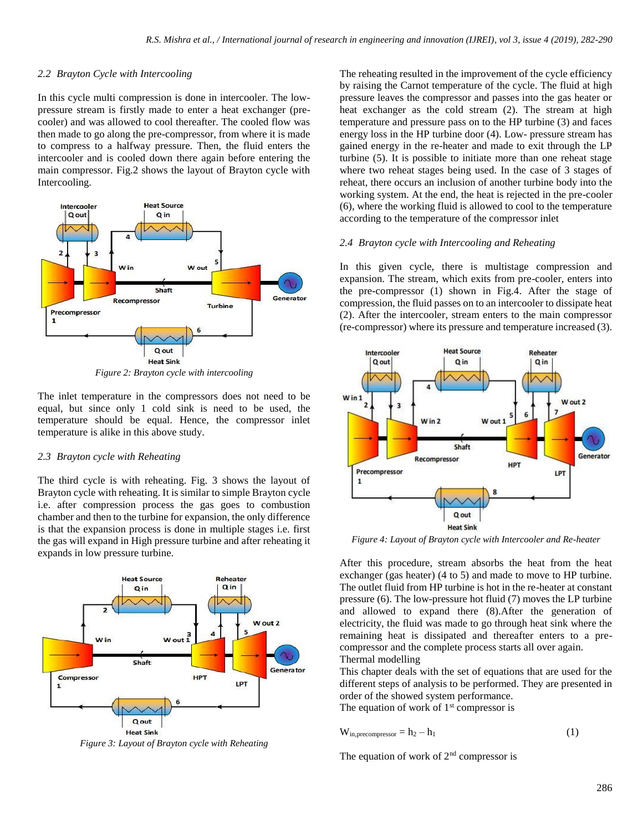### *2.2 Brayton Cycle with Intercooling*

In this cycle multi compression is done in intercooler. The lowpressure stream is firstly made to enter a heat exchanger (precooler) and was allowed to cool thereafter. The cooled flow was then made to go along the pre-compressor, from where it is made to compress to a halfway pressure. Then, the fluid enters the intercooler and is cooled down there again before entering the main compressor. Fig.2 shows the layout of Brayton cycle with Intercooling.



*Figure 2: Brayton cycle with intercooling*

The inlet temperature in the compressors does not need to be equal, but since only 1 cold sink is need to be used, the temperature should be equal. Hence, the compressor inlet temperature is alike in this above study.

# *2.3 Brayton cycle with Reheating*

The third cycle is with reheating. Fig. 3 shows the layout of Brayton cycle with reheating. It is similar to simple Brayton cycle i.e. after compression process the gas goes to combustion chamber and then to the turbine for expansion, the only difference is that the expansion process is done in multiple stages i.e. first the gas will expand in High pressure turbine and after reheating it expands in low pressure turbine.



*Figure 3: Layout of Brayton cycle with Reheating*

The reheating resulted in the improvement of the cycle efficiency by raising the Carnot temperature of the cycle. The fluid at high pressure leaves the compressor and passes into the gas heater or heat exchanger as the cold stream (2). The stream at high temperature and pressure pass on to the HP turbine (3) and faces energy loss in the HP turbine door (4). Low- pressure stream has gained energy in the re-heater and made to exit through the LP turbine (5). It is possible to initiate more than one reheat stage where two reheat stages being used. In the case of 3 stages of reheat, there occurs an inclusion of another turbine body into the working system. At the end, the heat is rejected in the pre-cooler (6), where the working fluid is allowed to cool to the temperature according to the temperature of the compressor inlet

## *2.4 Brayton cycle with Intercooling and Reheating*

In this given cycle, there is multistage compression and expansion. The stream, which exits from pre-cooler, enters into the pre-compressor (1) shown in Fig.4. After the stage of compression, the fluid passes on to an intercooler to dissipate heat (2). After the intercooler, stream enters to the main compressor (re-compressor) where its pressure and temperature increased (3).



*Figure 4: Layout of Brayton cycle with Intercooler and Re-heater*

After this procedure, stream absorbs the heat from the heat exchanger (gas heater) (4 to 5) and made to move to HP turbine. The outlet fluid from HP turbine is hot in the re-heater at constant pressure (6). The low-pressure hot fluid (7) moves the LP turbine and allowed to expand there (8).After the generation of electricity, the fluid was made to go through heat sink where the remaining heat is dissipated and thereafter enters to a precompressor and the complete process starts all over again. Thermal modelling

This chapter deals with the set of equations that are used for the different steps of analysis to be performed. They are presented in order of the showed system performance.

The equation of work of  $1<sup>st</sup>$  compressor is

$$
W_{in, precompressor} = h_2 - h_1
$$
 (1)

The equation of work of  $2<sup>nd</sup>$  compressor is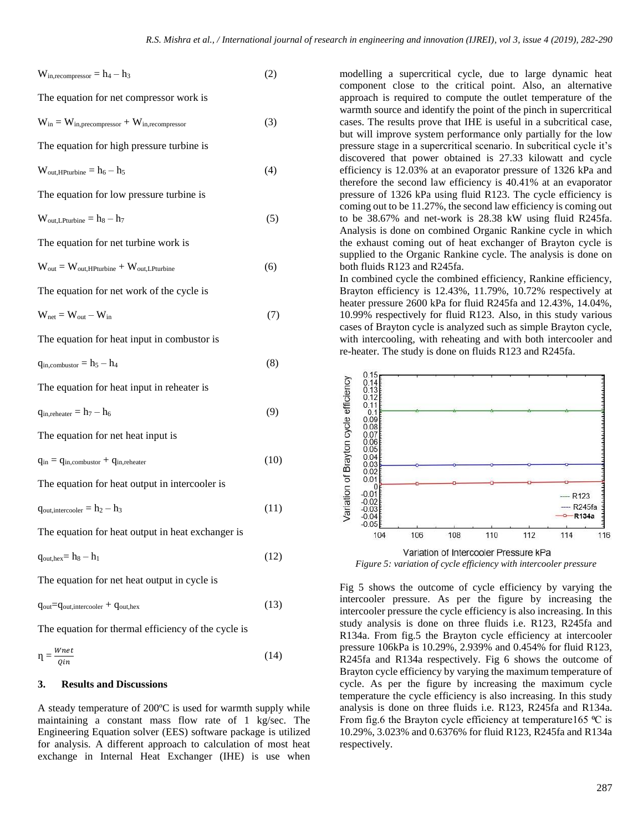$$
W_{in,recompressor} = h_4 - h_3
$$
 (2)

The equation for net compressor work is

$$
W_{in} = W_{in, precompressor} + W_{in, recompressor}
$$
 (3)

The equation for high pressure turbine is

$$
W_{\text{out,HPturbine}} = h_6 - h_5 \tag{4}
$$

The equation for low pressure turbine is

$$
W_{\text{out,L} \text{Putm} } = h_8 - h_7 \tag{5}
$$

The equation for net turbine work is

$$
W_{out} = W_{out,HPturbine} + W_{out,LPturbine}
$$
 (6)

The equation for net work of the cycle is

$$
W_{net} = W_{out} - W_{in}
$$
 (7)

The equation for heat input in combustor is

$$
q_{in, \text{combustor}} = h_5 - h_4 \tag{8}
$$

The equation for heat input in reheater is

$$
q_{in, \text{reheater}} = h_7 - h_6 \tag{9}
$$

The equation for net heat input is

```
q_{in} = q_{in,combustor} + q_{in,reheater} (10)
```
The equation for heat output in intercooler is

 $q_{\text{out,intercooler}} = h_2 - h_3$  (11)

The equation for heat output in heat exchanger is

 $q_{\text{out,hex}} = h_8 - h_1$  (12)

The equation for net heat output in cycle is

$$
q_{out}=q_{out,intercooler} + q_{out,hex}
$$
 (13)

The equation for thermal efficiency of the cycle is

$$
\eta = \frac{Wnet}{Qin} \tag{14}
$$

#### **3. Results and Discussions**

A steady temperature of 200ºC is used for warmth supply while maintaining a constant mass flow rate of 1 kg/sec. The Engineering Equation solver (EES) software package is utilized for analysis. A different approach to calculation of most heat exchange in Internal Heat Exchanger (IHE) is use when modelling a supercritical cycle, due to large dynamic heat component close to the critical point. Also, an alternative approach is required to compute the outlet temperature of the warmth source and identify the point of the pinch in supercritical cases. The results prove that IHE is useful in a subcritical case, but will improve system performance only partially for the low pressure stage in a supercritical scenario. In subcritical cycle it's discovered that power obtained is 27.33 kilowatt and cycle efficiency is 12.03% at an evaporator pressure of 1326 kPa and therefore the second law efficiency is 40.41% at an evaporator pressure of 1326 kPa using fluid R123. The cycle efficiency is coming out to be 11.27%, the second law efficiency is coming out to be 38.67% and net-work is 28.38 kW using fluid R245fa. Analysis is done on combined Organic Rankine cycle in which the exhaust coming out of heat exchanger of Brayton cycle is supplied to the Organic Rankine cycle. The analysis is done on both fluids R123 and R245fa.

In combined cycle the combined efficiency, Rankine efficiency, Brayton efficiency is 12.43%, 11.79%, 10.72% respectively at heater pressure 2600 kPa for fluid R245fa and 12.43%, 14.04%, 10.99% respectively for fluid R123. Also, in this study various cases of Brayton cycle is analyzed such as simple Brayton cycle, with intercooling, with reheating and with both intercooler and re-heater. The study is done on fluids R123 and R245fa.



*Figure 5: variation of cycle efficiency with intercooler pressure*

Fig 5 shows the outcome of cycle efficiency by varying the intercooler pressure. As per the figure by increasing the intercooler pressure the cycle efficiency is also increasing. In this study analysis is done on three fluids i.e. R123, R245fa and R134a. From fig.5 the Brayton cycle efficiency at intercooler pressure 106kPa is 10.29%, 2.939% and 0.454% for fluid R123, R245fa and R134a respectively. Fig 6 shows the outcome of Brayton cycle efficiency by varying the maximum temperature of cycle. As per the figure by increasing the maximum cycle temperature the cycle efficiency is also increasing. In this study analysis is done on three fluids i.e. R123, R245fa and R134a. From fig.6 the Brayton cycle efficiency at temperature165  $\degree$ C is 10.29%, 3.023% and 0.6376% for fluid R123, R245fa and R134a respectively.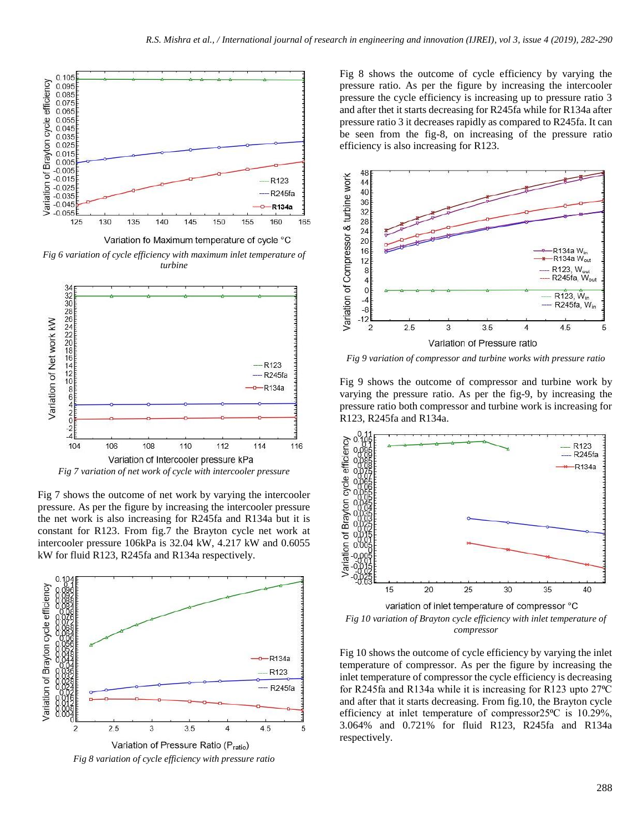

*Fig 6 variation of cycle efficiency with maximum inlet temperature of turbine*



*Fig 7 variation of net work of cycle with intercooler pressure*

Fig 7 shows the outcome of net work by varying the intercooler pressure. As per the figure by increasing the intercooler pressure the net work is also increasing for R245fa and R134a but it is constant for R123. From fig.7 the Brayton cycle net work at intercooler pressure 106kPa is 32.04 kW, 4.217 kW and 0.6055 kW for fluid R123, R245fa and R134a respectively.



Fig 8 shows the outcome of cycle efficiency by varying the pressure ratio. As per the figure by increasing the intercooler pressure the cycle efficiency is increasing up to pressure ratio 3 and after thet it starts decreasing for R245fa while for R134a after pressure ratio 3 it decreases rapidly as compared to R245fa. It can be seen from the fig-8, on increasing of the pressure ratio efficiency is also increasing for R123.



*Fig 9 variation of compressor and turbine works with pressure ratio*

Fig 9 shows the outcome of compressor and turbine work by varying the pressure ratio. As per the fig-9, by increasing the pressure ratio both compressor and turbine work is increasing for R123, R245fa and R134a.



*Fig 10 variation of Brayton cycle efficiency with inlet temperature of compressor*

Fig 10 shows the outcome of cycle efficiency by varying the inlet temperature of compressor. As per the figure by increasing the inlet temperature of compressor the cycle efficiency is decreasing for R245fa and R134a while it is increasing for R123 upto 27<sup>o</sup>C and after that it starts decreasing. From fig.10, the Brayton cycle efficiency at inlet temperature of compressor $25^{\circ}$ C is 10.29%, 3.064% and 0.721% for fluid R123, R245fa and R134a respectively.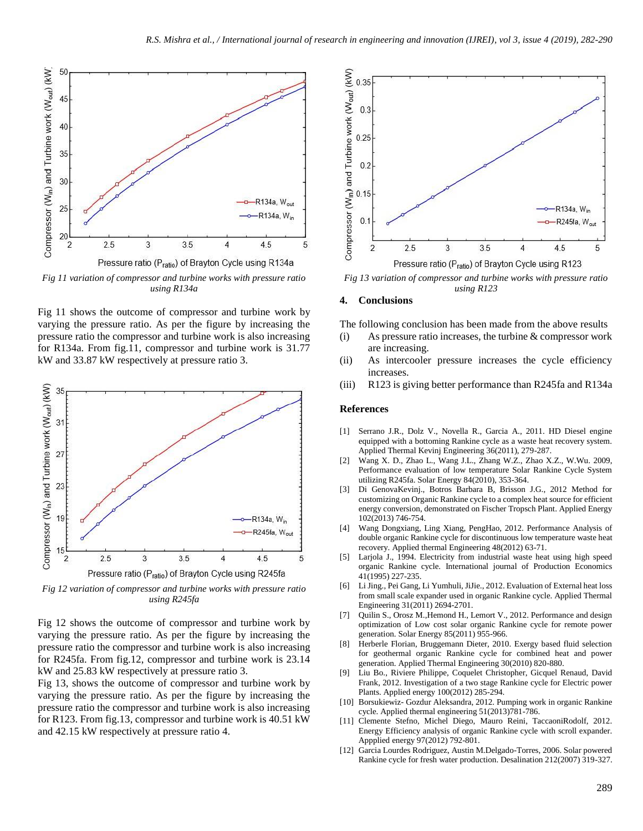

*using R134a*

Fig 11 shows the outcome of compressor and turbine work by varying the pressure ratio. As per the figure by increasing the pressure ratio the compressor and turbine work is also increasing for R134a. From fig.11, compressor and turbine work is 31.77 kW and 33.87 kW respectively at pressure ratio 3.



*Fig 12 variation of compressor and turbine works with pressure ratio using R245fa*

Fig 12 shows the outcome of compressor and turbine work by varying the pressure ratio. As per the figure by increasing the pressure ratio the compressor and turbine work is also increasing for R245fa. From fig.12, compressor and turbine work is 23.14 kW and 25.83 kW respectively at pressure ratio 3.

Fig 13, shows the outcome of compressor and turbine work by varying the pressure ratio. As per the figure by increasing the pressure ratio the compressor and turbine work is also increasing for R123. From fig.13, compressor and turbine work is 40.51 kW and 42.15 kW respectively at pressure ratio 4.



*Fig 13 variation of compressor and turbine works with pressure ratio using R123*

#### **4. Conclusions**

The following conclusion has been made from the above results

- (i) As pressure ratio increases, the turbine & compressor work are increasing.
- (ii) As intercooler pressure increases the cycle efficiency increases.
- (iii) R123 is giving better performance than R245fa and R134a

#### **References**

- [1] Serrano J.R., Dolz V., Novella R., Garcia A., 2011. HD Diesel engine equipped with a bottoming Rankine cycle as a waste heat recovery system. Applied Thermal Kevinj Engineering 36(2011), 279-287.
- [2] Wang X. D., Zhao L., Wang J.L., Zhang W.Z., Zhao X.Z., W.Wu. 2009, Performance evaluation of low temperature Solar Rankine Cycle System utilizing R245fa. Solar Energy 84(2010), 353-364.
- Di GenovaKevinj., Botros Barbara B, Brisson J.G., 2012 Method for customizing on Organic Rankine cycle to a complex heat source for efficient energy conversion, demonstrated on Fischer Tropsch Plant. Applied Energy 102(2013) 746-754.
- [4] Wang Dongxiang, Ling Xiang, PengHao, 2012. Performance Analysis of double organic Rankine cycle for discontinuous low temperature waste heat recovery. Applied thermal Engineering 48(2012) 63-71.
- Larjola J., 1994. Electricity from industrial waste heat using high speed organic Rankine cycle. International journal of Production Economics 41(1995) 227-235.
- [6] Li Jing., Pei Gang, Li Yumhuli, JiJie., 2012. Evaluation of External heat loss from small scale expander used in organic Rankine cycle. Applied Thermal Engineering 31(2011) 2694-2701.
- [7] Quilin S., Orosz M., Hemond H., Lemort V., 2012. Performance and design optimization of Low cost solar organic Rankine cycle for remote power generation. Solar Energy 85(2011) 955-966.
- [8] Herberle Florian, Bruggemann Dieter, 2010. Exergy based fluid selection for geothermal organic Rankine cycle for combined heat and power generation. Applied Thermal Engineering 30(2010) 820-880.
- Liu Bo., Riviere Philippe, Coquelet Christopher, Gicquel Renaud, David Frank, 2012. Investigation of a two stage Rankine cycle for Electric power Plants. Applied energy 100(2012) 285-294.
- [10] Borsukiewiz- Gozdur Aleksandra, 2012. Pumping work in organic Rankine cycle. Applied thermal engineering 51(2013)781-786.
- [11] Clemente Stefno, Michel Diego, Mauro Reini, TaccaoniRodolf, 2012. Energy Efficiency analysis of organic Rankine cycle with scroll expander. Appplied energy 97(2012) 792-801.
- [12] Garcia Lourdes Rodriguez, Austin M.Delgado-Torres, 2006. Solar powered Rankine cycle for fresh water production. Desalination 212(2007) 319-327.